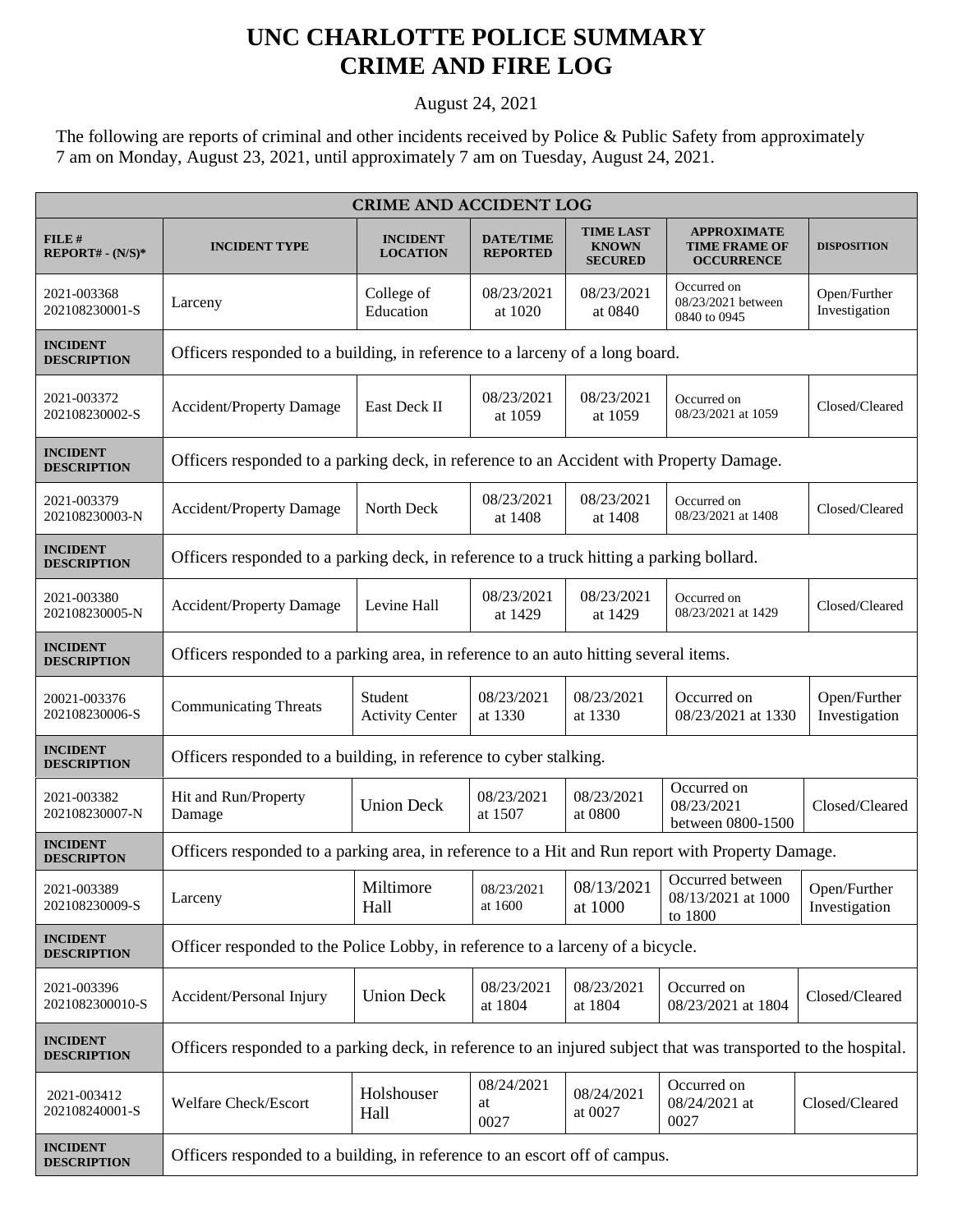## **UNC CHARLOTTE POLICE SUMMARY CRIME AND FIRE LOG**

August 24, 2021

The following are reports of criminal and other incidents received by Police & Public Safety from approximately 7 am on Monday, August 23, 2021, until approximately 7 am on Tuesday, August 24, 2021.

| <b>CRIME AND ACCIDENT LOG</b>         |                                                                                                                |                                    |                                     |                                                    |                                                                 |                               |  |
|---------------------------------------|----------------------------------------------------------------------------------------------------------------|------------------------------------|-------------------------------------|----------------------------------------------------|-----------------------------------------------------------------|-------------------------------|--|
| FILE#<br>REPORT# - (N/S)*             | <b>INCIDENT TYPE</b>                                                                                           | <b>INCIDENT</b><br><b>LOCATION</b> | <b>DATE/TIME</b><br><b>REPORTED</b> | <b>TIME LAST</b><br><b>KNOWN</b><br><b>SECURED</b> | <b>APPROXIMATE</b><br><b>TIME FRAME OF</b><br><b>OCCURRENCE</b> | <b>DISPOSITION</b>            |  |
| 2021-003368<br>202108230001-S         | Larceny                                                                                                        | College of<br>Education            | 08/23/2021<br>at 1020               | 08/23/2021<br>at 0840                              | Occurred on<br>08/23/2021 between<br>0840 to 0945               | Open/Further<br>Investigation |  |
| <b>INCIDENT</b><br><b>DESCRIPTION</b> | Officers responded to a building, in reference to a larceny of a long board.                                   |                                    |                                     |                                                    |                                                                 |                               |  |
| 2021-003372<br>202108230002-S         | <b>Accident/Property Damage</b>                                                                                | East Deck II                       | 08/23/2021<br>at 1059               | 08/23/2021<br>at 1059                              | Occurred on<br>08/23/2021 at 1059                               | Closed/Cleared                |  |
| <b>INCIDENT</b><br><b>DESCRIPTION</b> | Officers responded to a parking deck, in reference to an Accident with Property Damage.                        |                                    |                                     |                                                    |                                                                 |                               |  |
| 2021-003379<br>202108230003-N         | <b>Accident/Property Damage</b>                                                                                | North Deck                         | 08/23/2021<br>at 1408               | 08/23/2021<br>at 1408                              | Occurred on<br>08/23/2021 at 1408                               | Closed/Cleared                |  |
| <b>INCIDENT</b><br><b>DESCRIPTION</b> | Officers responded to a parking deck, in reference to a truck hitting a parking bollard.                       |                                    |                                     |                                                    |                                                                 |                               |  |
| 2021-003380<br>202108230005-N         | <b>Accident/Property Damage</b>                                                                                | Levine Hall                        | 08/23/2021<br>at 1429               | 08/23/2021<br>at 1429                              | Occurred on<br>08/23/2021 at 1429                               | Closed/Cleared                |  |
| <b>INCIDENT</b><br><b>DESCRIPTION</b> | Officers responded to a parking area, in reference to an auto hitting several items.                           |                                    |                                     |                                                    |                                                                 |                               |  |
| 20021-003376<br>202108230006-S        | <b>Communicating Threats</b>                                                                                   | Student<br><b>Activity Center</b>  | 08/23/2021<br>at 1330               | 08/23/2021<br>at 1330                              | Occurred on<br>08/23/2021 at 1330                               | Open/Further<br>Investigation |  |
| <b>INCIDENT</b><br><b>DESCRIPTION</b> | Officers responded to a building, in reference to cyber stalking.                                              |                                    |                                     |                                                    |                                                                 |                               |  |
| 2021-003382<br>202108230007-N         | Hit and Run/Property<br>Damage                                                                                 | <b>Union Deck</b>                  | 08/23/2021<br>at 1507               | 08/23/2021<br>at 0800                              | Occurred on<br>08/23/2021<br>between 0800-1500                  | Closed/Cleared                |  |
| <b>INCIDENT</b><br><b>DESCRIPTON</b>  | Officers responded to a parking area, in reference to a Hit and Run report with Property Damage.               |                                    |                                     |                                                    |                                                                 |                               |  |
| 2021-003389<br>202108230009-S         | Larceny                                                                                                        | Miltimore<br>Hall                  | 08/23/2021<br>at 1600               | 08/13/2021<br>at 1000                              | Occurred between<br>08/13/2021 at 1000<br>to 1800               | Open/Further<br>Investigation |  |
| <b>INCIDENT</b><br><b>DESCRIPTION</b> | Officer responded to the Police Lobby, in reference to a larceny of a bicycle.                                 |                                    |                                     |                                                    |                                                                 |                               |  |
| 2021-003396<br>2021082300010-S        | Accident/Personal Injury                                                                                       | <b>Union Deck</b>                  | 08/23/2021<br>at 1804               | 08/23/2021<br>at 1804                              | Occurred on<br>08/23/2021 at 1804                               | Closed/Cleared                |  |
| <b>INCIDENT</b><br><b>DESCRIPTION</b> | Officers responded to a parking deck, in reference to an injured subject that was transported to the hospital. |                                    |                                     |                                                    |                                                                 |                               |  |
| 2021-003412<br>202108240001-S         | Welfare Check/Escort                                                                                           | Holshouser<br>Hall                 | 08/24/2021<br>at<br>0027            | 08/24/2021<br>at 0027                              | Occurred on<br>08/24/2021 at<br>0027                            | Closed/Cleared                |  |
| <b>INCIDENT</b><br><b>DESCRIPTION</b> | Officers responded to a building, in reference to an escort off of campus.                                     |                                    |                                     |                                                    |                                                                 |                               |  |